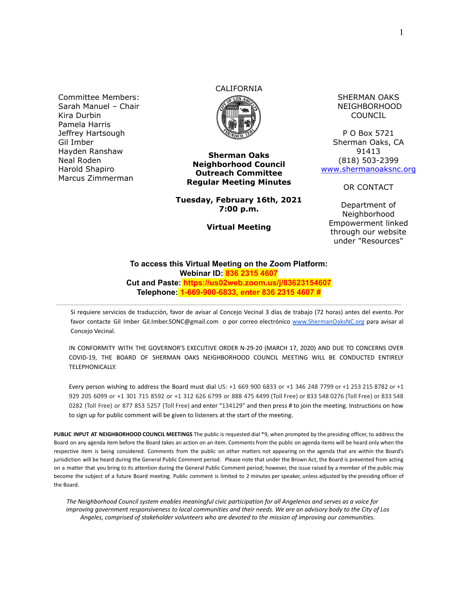Committee Members: Sarah Manuel – Chair Kira Durbin Pamela Harris Jeffrey Hartsough Gil Imber Hayden Ranshaw Neal Roden Harold Shapiro Marcus Zimmerman

# CALIFORNIA



**Sherman Oaks Neighborhood Council Outreach Committee Regular Meeting Minutes**

**Tuesday, February 16th, 2021 7:00 p.m.**

**Virtual Meeting**

SHERMAN OAKS NEIGHBORHOOD COUNCIL

P O Box 5721 Sherman Oaks, CA 91413 (818) 503-2399 [www.shermanoaksnc.org](http://www.shermanoaksnc.org/)

OR CONTACT

Department of Neighborhood Empowerment linked through our website under "Resources"

#### **To access this Virtual Meeting on the Zoom Platform: Webinar ID: 836 2315 4607 Cut and Paste: https://us02web.zoom.us/j/83623154607 Telephone: 1-669-900-6833, enter 836 2315 4607 #**

Si requiere servicios de traducción, favor de avisar al Concejo Vecinal 3 días de trabajo (72 horas) antes del evento. Por favor contacte Gil Imber Gil.Imber.SONC@gmail.com o por correo electrónico [www.ShermanOaksNC.org](http://www.shermanoaksnc.org) para avisar al Concejo Vecinal.

IN CONFORMITY WITH THE GOVERNOR'S EXECUTIVE ORDER N-29-20 (MARCH 17, 2020) AND DUE TO CONCERNS OVER COVID-19, THE BOARD OF SHERMAN OAKS NEIGHBORHOOD COUNCIL MEETING WILL BE CONDUCTED ENTIRELY TELEPHONICALLY.

Every person wishing to address the Board must dial US: +1 669 900 6833 or +1 346 248 7799 or +1 253 215 8782 or +1 929 205 6099 or +1 301 715 8592 or +1 312 626 6799 or 888 475 4499 (Toll Free) or 833 548 0276 (Toll Free) or 833 548 0282 (Toll Free) or 877 853 5257 (Toll Free) and enter "134129" and then press # to join the meeting. Instructions on how to sign up for public comment will be given to listeners at the start of the meeting.

**PUBLIC INPUT AT NEIGHBORHOOD COUNCIL MEETINGS** The public is requested dial \*9, when prompted by the presiding officer, to address the Board on any agenda item before the Board takes an action on an item. Comments from the public on agenda items will be heard only when the respective item is being considered. Comments from the public on other matters not appearing on the agenda that are within the Board's jurisdiction will be heard during the General Public Comment period. Please note that under the Brown Act, the Board is prevented from acting on a matter that you bring to its attention during the General Public Comment period; however, the issue raised by a member of the public may become the subject of a future Board meeting. Public comment is limited to 2 minutes per speaker, unless adjusted by the presiding officer of the Board.

*The Neighborhood Council system enables meaningful civic participation for all Angelenos and serves as a voice for improving government responsiveness to local communities and their needs. We are an advisory body to the City of Los Angeles, comprised of stakeholder volunteers who are devoted to the mission of improving our communities.*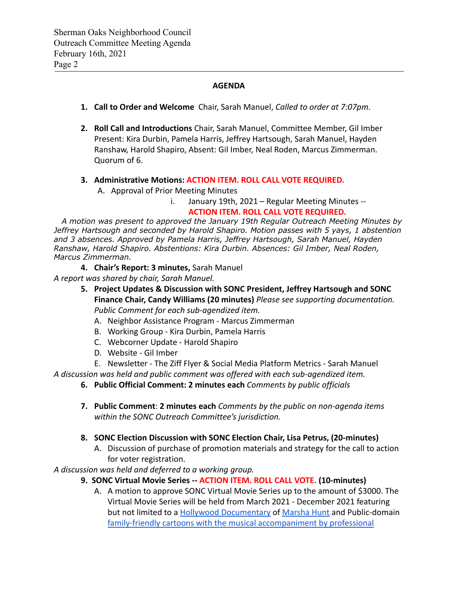#### **AGENDA**

- **1. Call to Order and Welcome** Chair, Sarah Manuel, *Called to order at 7:07pm.*
- **2. Roll Call and Introductions** Chair, Sarah Manuel, Committee Member, Gil Imber Present: Kira Durbin, Pamela Harris, Jeffrey Hartsough, Sarah Manuel, Hayden Ranshaw, Harold Shapiro, Absent: Gil Imber, Neal Roden, Marcus Zimmerman. Quorum of 6.

#### **3. Administrative Motions: ACTION ITEM. ROLL CALL VOTE REQUIRED.**

A. Approval of Prior Meeting Minutes

i. January 19th, 2021 – Regular Meeting Minutes -- **ACTION ITEM. ROLL CALL VOTE REQUIRED.**

*A motion was present to approved the January 19th Regular Outreach Meeting Minutes by Jeffrey Hartsough and seconded by Harold Shapiro. Motion passes with 5 yays, 1 abstention and 3 absences. Approved by Pamela Harris, Jeffrey Hartsough, Sarah Manuel, Hayden Ranshaw, Harold Shapiro. Abstentions: Kira Durbin. Absences: Gil Imber, Neal Roden, Marcus Zimmerman.*

**4. Chair's Report: 3 minutes,** Sarah Manuel *A report was shared by chair, Sarah Manuel.*

- **5. Project Updates & Discussion with SONC President, Jeffrey Hartsough and SONC Finance Chair, Candy Williams (20 minutes)** *Please see supporting documentation. Public Comment for each sub-agendized item.*
	- A. Neighbor Assistance Program Marcus Zimmerman
	- B. Working Group Kira Durbin, Pamela Harris
	- C. Webcorner Update Harold Shapiro
	- D. Website Gil Imber

E. Newsletter - The Ziff Flyer & Social Media Platform Metrics - Sarah Manuel *A discussion was held and public comment was offered with each sub-agendized item.*

**6. Public Official Comment: 2 minutes each** *Comments by public officials*

**7. Public Comment**: **2 minutes each** *Comments by the public on non-agenda items within the SONC Outreach Committee's jurisdiction.*

#### **8. SONC Election Discussion with SONC Election Chair, Lisa Petrus, (20-minutes)**

A. Discussion of purchase of promotion materials and strategy for the call to action for voter registration.

*A discussion was held and deferred to a working group.*

## **9. SONC Virtual Movie Series -- ACTION ITEM. ROLL CALL VOTE. (10-minutes)**

A. A motion to approve SONC Virtual Movie Series up to the amount of \$3000. The Virtual Movie Series will be held from March 2021 - December 2021 featuring but not limited to a [Hollywood Documentary](https://www.youtube.com/watch?v=xZ6T-qlO7w4) of [Marsha](https://www.imdb.com/name/nm0402554/bio) Hunt and Public-domain [family-friendly cartoons with the musical accompaniment](https://youtu.be/vrODRjLJjuY) by professional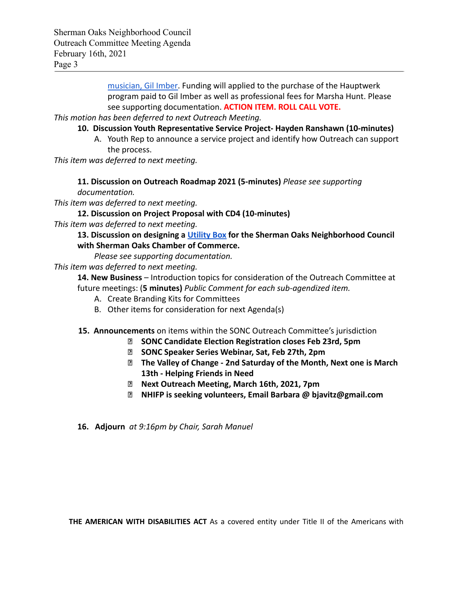[musician, Gil Imber.](https://youtu.be/vrODRjLJjuY) Funding will applied to the purchase of the Hauptwerk program paid to Gil Imber as well as professional fees for Marsha Hunt. Please see supporting documentation. **ACTION ITEM. ROLL CALL VOTE.**

*This motion has been deferred to next Outreach Meeting.*

- **10. Discussion Youth Representative Service Project- Hayden Ranshawn (10-minutes)**
	- A. Youth Rep to announce a service project and identify how Outreach can support the process.

*This item was deferred to next meeting.*

**11. Discussion on Outreach Roadmap 2021 (5-minutes)** *Please see supporting documentation.*

*This item was deferred to next meeting.*

### **12. Discussion on Project Proposal with CD4 (10-minutes)**

*This item was deferred to next meeting.*

## **13. Discussion on designing a [Utility Box](https://youtu.be/oeBes1fJV5s) for the Sherman Oaks Neighborhood Council with Sherman Oaks Chamber of Commerce.**

*Please see supporting documentation.*

*This item was deferred to next meeting.*

**14. New Business** – Introduction topics for consideration of the Outreach Committee at future meetings: (**5 minutes)** *Public Comment for each sub-agendized item.*

- A. Create Branding Kits for Committees
- B. Other items for consideration for next Agenda(s)

## **15. Announcements** on items within the SONC Outreach Committee's jurisdiction

- **⮚ SONC Candidate Election Registration closes Feb 23rd, 5pm**
- **⮚ SONC Speaker Series Webinar, Sat, Feb 27th, 2pm**
- **⮚ The Valley of Change 2nd Saturday of the Month, Next one is March 13th - Helping Friends in Need**
- **⮚ Next Outreach Meeting, March 16th, 2021, 7pm**
- **⮚ NHIFP is seeking volunteers, Email Barbara @ bjavitz@gmail.com**

**16. Adjourn** *at 9:16pm by Chair, Sarah Manuel*

**THE AMERICAN WITH DISABILITIES ACT** As a covered entity under Title II of the Americans with